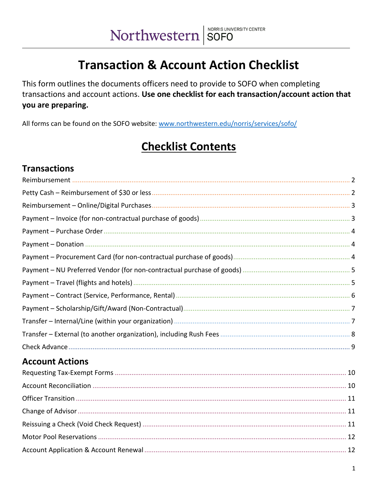# **Transaction & Account Action Checklist**

This form outlines the documents officers need to provide to SOFO when completing transactions and account actions. Use one checklist for each transaction/account action that you are preparing.

All forms can be found on the SOFO website: www.northwestern.edu/norris/services/sofo/

# **Checklist Contents**

## **Transactions**

| <b>Account Actions</b> |  |
|------------------------|--|
|                        |  |
|                        |  |
|                        |  |
|                        |  |
|                        |  |
|                        |  |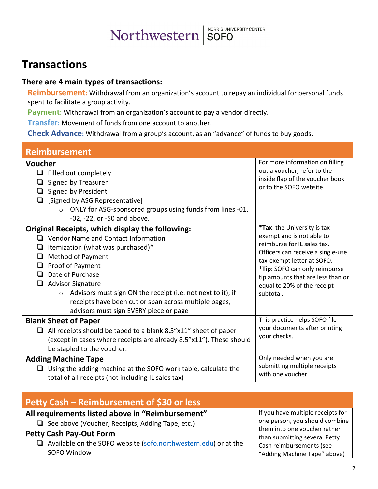# **Transactions**

#### **There are 4 main types of transactions:**

**Reimbursement:** Withdrawal from an organization's account to repay an individual for personal funds spent to facilitate a group activity.

Payment: Withdrawal from an organization's account to pay a vendor directly.

**Transfer:** Movement of funds from one account to another.

**Check Advance:** Withdrawal from a group's account, as an "advance" of funds to buy goods.

<span id="page-1-0"></span>

| <b>Reimbursement</b>                                                                                                                                                                                                                                                                                                                                                                                                              |                                                                                                                                                                                                                                                                               |
|-----------------------------------------------------------------------------------------------------------------------------------------------------------------------------------------------------------------------------------------------------------------------------------------------------------------------------------------------------------------------------------------------------------------------------------|-------------------------------------------------------------------------------------------------------------------------------------------------------------------------------------------------------------------------------------------------------------------------------|
| Voucher<br>$\Box$ Filled out completely<br>Signed by Treasurer<br>⊔<br>Signed by President<br>[Signed by ASG Representative]<br>ONLY for ASG-sponsored groups using funds from lines -01,<br>$\circ$<br>-02, -22, or -50 and above.                                                                                                                                                                                               | For more information on filling<br>out a voucher, refer to the<br>inside flap of the voucher book<br>or to the SOFO website.                                                                                                                                                  |
| Original Receipts, which display the following:<br>$\Box$ Vendor Name and Contact Information<br>Itemization (what was purchased)*<br>⊔<br>Method of Payment<br>⊔<br>Proof of Payment<br>⊔<br>Date of Purchase<br>$\Box$<br><b>Advisor Signature</b><br>Advisors must sign ON the receipt (i.e. not next to it); if<br>$\circ$<br>receipts have been cut or span across multiple pages,<br>advisors must sign EVERY piece or page | *Tax: the University is tax-<br>exempt and is not able to<br>reimburse for IL sales tax.<br>Officers can receive a single-use<br>tax-exempt letter at SOFO.<br>*Tip: SOFO can only reimburse<br>tip amounts that are less than or<br>equal to 20% of the receipt<br>subtotal. |
| <b>Blank Sheet of Paper</b><br>All receipts should be taped to a blank 8.5"x11" sheet of paper<br>(except in cases where receipts are already 8.5"x11"). These should<br>be stapled to the voucher.                                                                                                                                                                                                                               | This practice helps SOFO file<br>your documents after printing<br>your checks.<br>Only needed when you are                                                                                                                                                                    |
| <b>Adding Machine Tape</b><br>$\Box$ Using the adding machine at the SOFO work table, calculate the<br>total of all receipts (not including IL sales tax)                                                                                                                                                                                                                                                                         | submitting multiple receipts<br>with one voucher.                                                                                                                                                                                                                             |

<span id="page-1-1"></span>

| <b>Petty Cash - Reimbursement of \$30 or less</b>                      |                                                               |
|------------------------------------------------------------------------|---------------------------------------------------------------|
| All requirements listed above in "Reimbursement"                       | If you have multiple receipts for                             |
| $\Box$ See above (Voucher, Receipts, Adding Tape, etc.)                | one person, you should combine                                |
| <b>Petty Cash Pay-Out Form</b>                                         | them into one voucher rather<br>than submitting several Petty |
| $\Box$ Available on the SOFO website (sofo.northwestern.edu) or at the | Cash reimbursements (see                                      |
| SOFO Window                                                            | "Adding Machine Tape" above)                                  |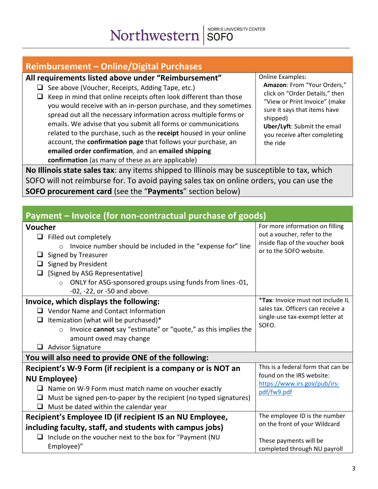<span id="page-2-0"></span>

| <b>Reimbursement - Online/Digital Purchases</b>                                                                                                                                                                                                                                                                                                                                                                                                                                                                                                                                                                                                |                                                                                                                                                                                                                                                  |
|------------------------------------------------------------------------------------------------------------------------------------------------------------------------------------------------------------------------------------------------------------------------------------------------------------------------------------------------------------------------------------------------------------------------------------------------------------------------------------------------------------------------------------------------------------------------------------------------------------------------------------------------|--------------------------------------------------------------------------------------------------------------------------------------------------------------------------------------------------------------------------------------------------|
| All requirements listed above under "Reimbursement"<br>See above (Voucher, Receipts, Adding Tape, etc.)<br>⊔<br>Keep in mind that online receipts often look different than those<br>you would receive with an in-person purchase, and they sometimes<br>spread out all the necessary information across multiple forms or<br>emails. We advise that you submit all forms or communications<br>related to the purchase, such as the receipt housed in your online<br>account, the confirmation page that follows your purchase, an<br>emailed order confirmation, and an emailed shipping<br>confirmation (as many of these as are applicable) | <b>Online Examples:</b><br>Amazon: From "Your Orders,"<br>click on "Order Details," then<br>"View or Print Invoice" (make<br>sure it says that items have<br>shipped)<br>Uber/Lyft: Submit the email<br>you receive after completing<br>the ride |
| No Illinois state sales tax: any items shipped to Illinois may be susceptible to tax, which                                                                                                                                                                                                                                                                                                                                                                                                                                                                                                                                                    |                                                                                                                                                                                                                                                  |

SOFO will not reimburse for. To avoid paying sales tax on online orders, you can use the **SOFO procurement card** (see the "**Payments**" section below)

<span id="page-2-1"></span>

| Payment – Invoice (for non-contractual purchase of goods)                                                                                                                                                                                                                                          |                                                                                                                              |  |
|----------------------------------------------------------------------------------------------------------------------------------------------------------------------------------------------------------------------------------------------------------------------------------------------------|------------------------------------------------------------------------------------------------------------------------------|--|
| Voucher<br>$\Box$ Filled out completely<br>Invoice number should be included in the "expense for" line<br>$\circ$<br>Signed by Treasurer<br>Signed by President<br>⊔<br>[Signed by ASG Representative]<br>ONLY for ASG-sponsored groups using funds from lines -01,<br>-02, -22, or -50 and above. | For more information on filling<br>out a voucher, refer to the<br>inside flap of the voucher book<br>or to the SOFO website. |  |
| Invoice, which displays the following:<br>Vendor Name and Contact Information<br>Itemization (what will be purchased)*<br>Invoice cannot say "estimate" or "quote," as this implies the<br>$\circ$<br>amount owed may change<br><b>Advisor Signature</b>                                           | *Tax: Invoice must not include IL<br>sales tax. Officers can receive a<br>single-use tax-exempt letter at<br>SOFO.           |  |
| You will also need to provide ONE of the following:                                                                                                                                                                                                                                                |                                                                                                                              |  |
| Recipient's W-9 Form (if recipient is a company or is NOT an<br><b>NU Employee)</b><br>Name on W-9 Form must match name on voucher exactly<br>Must be signed pen-to-paper by the recipient (no typed signatures)<br>⊔<br>Must be dated within the calendar year                                    | This is a federal form that can be<br>found on the IRS website:<br>https://www.irs.gov/pub/irs-<br>pdf/fw9.pdf               |  |
| Recipient's Employee ID (if recipient IS an NU Employee,                                                                                                                                                                                                                                           | The employee ID is the number                                                                                                |  |
| including faculty, staff, and students with campus jobs)<br>Include on the voucher next to the box for "Payment (NU<br>Employee)"                                                                                                                                                                  | on the front of your Wildcard<br>These payments will be<br>completed through NU payroll                                      |  |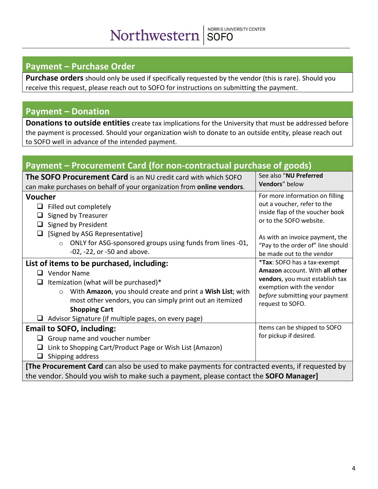# <span id="page-3-0"></span>**Payment – Purchase Order**

**Purchase orders** should only be used if specifically requested by the vendor (this is rare). Should you receive this request, please reach out to SOFO for instructions on submitting the payment.

#### <span id="page-3-1"></span>**Payment – Donation**

**Donations to outside entities** create tax implications for the University that must be addressed before the payment is processed. Should your organization wish to donate to an outside entity, please reach out to SOFO well in advance of the intended payment.

<span id="page-3-2"></span>

| Payment - Procurement Card (for non-contractual purchase of goods)                                                                                                                                                                                                                                                            |                                                                                                                                                                                                                                   |
|-------------------------------------------------------------------------------------------------------------------------------------------------------------------------------------------------------------------------------------------------------------------------------------------------------------------------------|-----------------------------------------------------------------------------------------------------------------------------------------------------------------------------------------------------------------------------------|
| The SOFO Procurement Card is an NU credit card with which SOFO<br>can make purchases on behalf of your organization from online vendors.                                                                                                                                                                                      | See also "NU Preferred<br>Vendors" below                                                                                                                                                                                          |
| <b>Voucher</b><br>Filled out completely<br>⊔<br>Signed by Treasurer<br>⊔<br>Signed by President<br>⊔<br>[Signed by ASG Representative]<br>⊔<br>ONLY for ASG-sponsored groups using funds from lines -01,<br>$\circ$<br>-02, -22, or -50 and above.                                                                            | For more information on filling<br>out a voucher, refer to the<br>inside flap of the voucher book<br>or to the SOFO website.<br>As with an invoice payment, the<br>"Pay to the order of" line should<br>be made out to the vendor |
| List of items to be purchased, including:<br><b>Vendor Name</b><br>Itemization (what will be purchased)*<br>With Amazon, you should create and print a Wish List; with<br>$\circ$<br>most other vendors, you can simply print out an itemized<br><b>Shopping Cart</b><br>Advisor Signature (if multiple pages, on every page) | <i>*Tax: SOFO has a tax-exempt</i><br>Amazon account. With all other<br>vendors, you must establish tax<br>exemption with the vendor<br>before submitting your payment<br>request to SOFO.                                        |
| <b>Email to SOFO, including:</b><br>Group name and voucher number<br>Link to Shopping Cart/Product Page or Wish List (Amazon)<br>Shipping address<br>ப                                                                                                                                                                        | Items can be shipped to SOFO<br>for pickup if desired.                                                                                                                                                                            |
| <b>[The Procurement Card</b> can also be used to make payments for contracted events, if requested by<br>the vendor. Should you wish to make such a payment, please contact the SOFO Manager]                                                                                                                                 |                                                                                                                                                                                                                                   |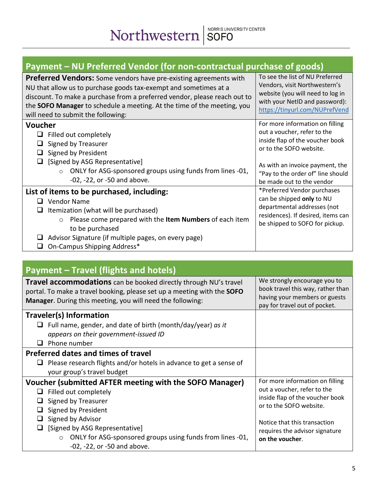# <span id="page-4-0"></span>**Payment – NU Preferred Vendor (for non-contractual purchase of goods)**

| <b>Preferred Vendors:</b> Some vendors have pre-existing agreements with<br>NU that allow us to purchase goods tax-exempt and sometimes at a<br>discount. To make a purchase from a preferred vendor, please reach out to<br>the SOFO Manager to schedule a meeting. At the time of the meeting, you<br>will need to submit the following: | To see the list of NU Preferred<br>Vendors, visit Northwestern's<br>website (you will need to log in<br>with your NetID and password):<br>https://tinyurl.com/NUPrefVend                                                          |
|--------------------------------------------------------------------------------------------------------------------------------------------------------------------------------------------------------------------------------------------------------------------------------------------------------------------------------------------|-----------------------------------------------------------------------------------------------------------------------------------------------------------------------------------------------------------------------------------|
| Voucher<br>Filled out completely<br>⊔<br>Signed by Treasurer<br>ப<br>Signed by President<br>[Signed by ASG Representative]<br>ONLY for ASG-sponsored groups using funds from lines -01,<br>$\Omega$<br>-02, -22, or -50 and above.                                                                                                         | For more information on filling<br>out a voucher, refer to the<br>inside flap of the voucher book<br>or to the SOFO website.<br>As with an invoice payment, the<br>"Pay to the order of" line should<br>be made out to the vendor |
| List of items to be purchased, including:<br><b>Vendor Name</b><br>ப<br>Itemization (what will be purchased)<br>ப<br>Please come prepared with the Item Numbers of each item<br>$\circ$<br>to be purchased<br>Advisor Signature (if multiple pages, on every page)<br>On-Campus Shipping Address*                                          | *Preferred Vendor purchases<br>can be shipped only to NU<br>departmental addresses (not<br>residences). If desired, items can<br>be shipped to SOFO for pickup.                                                                   |

#### <span id="page-4-1"></span>**Payment – Travel (flights and hotels) Travel accommodations** can be booked directly through NU's travel portal. To make a travel booking, please set up a meeting with the **SOFO Manager**. During this meeting, you will need the following: We strongly encourage you to book travel this way, rather than having your members or guests pay for travel out of pocket. **Traveler(s) Information** Full name, gender, and date of birth (month/day/year) *as it appears on their government-issued ID*  $\Box$  Phone number **Preferred dates and times of travel**  $\Box$  Please research flights and/or hotels in advance to get a sense of your group's travel budget **Voucher (submitted AFTER meeting with the SOFO Manager)**  $\Box$  Filled out completely  $\Box$  Signed by Treasurer  $\Box$  Signed by President  $\Box$  Signed by Advisor  $\Box$  [Signed by ASG Representative] o ONLY for ASG-sponsored groups using funds from lines -01, -02, -22, or -50 and above. For more information on filling out a voucher, refer to the inside flap of the voucher book or to the SOFO website. Notice that this transaction requires the advisor signature **on the voucher**.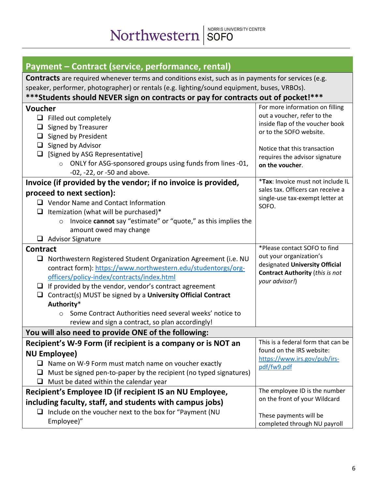<span id="page-5-0"></span>

| Payment – Contract (service, performance, rental)                                                                                                                                                                                                                                                                                    |                                                                                                                                                                                                                   |
|--------------------------------------------------------------------------------------------------------------------------------------------------------------------------------------------------------------------------------------------------------------------------------------------------------------------------------------|-------------------------------------------------------------------------------------------------------------------------------------------------------------------------------------------------------------------|
| <b>Contracts</b> are required whenever terms and conditions exist, such as in payments for services (e.g.<br>speaker, performer, photographer) or rentals (e.g. lighting/sound equipment, buses, VRBOs).                                                                                                                             |                                                                                                                                                                                                                   |
| ***Students should NEVER sign on contracts or pay for contracts out of pocket!***                                                                                                                                                                                                                                                    |                                                                                                                                                                                                                   |
| Voucher<br>$\Box$ Filled out completely<br>Signed by Treasurer<br>⊔<br>$\Box$ Signed by President<br>Signed by Advisor<br>$\Box$<br>[Signed by ASG Representative]<br>$\Box$<br>ONLY for ASG-sponsored groups using funds from lines -01,<br>$\circ$<br>-02, -22, or -50 and above.                                                  | For more information on filling<br>out a voucher, refer to the<br>inside flap of the voucher book<br>or to the SOFO website.<br>Notice that this transaction<br>requires the advisor signature<br>on the voucher. |
| Invoice (if provided by the vendor; if no invoice is provided,                                                                                                                                                                                                                                                                       | *Tax: Invoice must not include IL                                                                                                                                                                                 |
| proceed to next section):<br>$\Box$ Vendor Name and Contact Information<br>$\Box$ Itemization (what will be purchased)*<br>Invoice cannot say "estimate" or "quote," as this implies the<br>$\circ$<br>amount owed may change<br>$\Box$ Advisor Signature                                                                            | sales tax. Officers can receive a<br>single-use tax-exempt letter at<br>SOFO.                                                                                                                                     |
| <b>Contract</b>                                                                                                                                                                                                                                                                                                                      | *Please contact SOFO to find                                                                                                                                                                                      |
| □ Northwestern Registered Student Organization Agreement (i.e. NU<br>contract form): https://www.northwestern.edu/studentorgs/org-<br>officers/policy-index/contracts/index.html<br>$\Box$ If provided by the vendor, vendor's contract agreement<br>Contract(s) MUST be signed by a University Official Contract<br>⊔<br>Authority* | out your organization's<br>designated University Official<br><b>Contract Authority (this is not</b><br>your advisor!)                                                                                             |
| Some Contract Authorities need several weeks' notice to<br>O                                                                                                                                                                                                                                                                         |                                                                                                                                                                                                                   |
| review and sign a contract, so plan accordingly!                                                                                                                                                                                                                                                                                     |                                                                                                                                                                                                                   |
| You will also need to provide ONE of the following:                                                                                                                                                                                                                                                                                  |                                                                                                                                                                                                                   |
| Recipient's W-9 Form (if recipient is a company or is NOT an<br><b>NU Employee)</b><br>Name on W-9 Form must match name on voucher exactly<br>Must be signed pen-to-paper by the recipient (no typed signatures)<br>u.<br>Must be dated within the calendar year<br>ப                                                                | This is a federal form that can be<br>found on the IRS website:<br>https://www.irs.gov/pub/irs-<br>pdf/fw9.pdf                                                                                                    |
| Recipient's Employee ID (if recipient IS an NU Employee,                                                                                                                                                                                                                                                                             | The employee ID is the number                                                                                                                                                                                     |
| including faculty, staff, and students with campus jobs)                                                                                                                                                                                                                                                                             | on the front of your Wildcard                                                                                                                                                                                     |
| $\Box$ Include on the voucher next to the box for "Payment (NU<br>Employee)"                                                                                                                                                                                                                                                         | These payments will be<br>completed through NU payroll                                                                                                                                                            |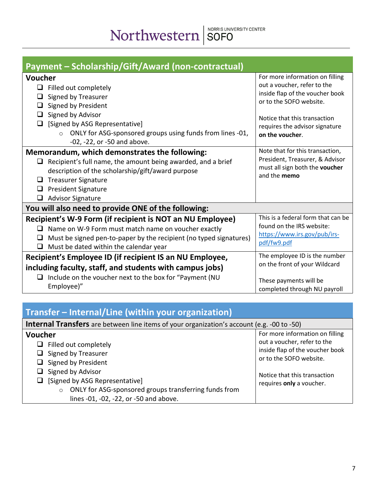<span id="page-6-0"></span>

| Payment – Scholarship/Gift/Award (non-contractual)                                                                                                                                                                                                                                  |                                                                                                                              |  |
|-------------------------------------------------------------------------------------------------------------------------------------------------------------------------------------------------------------------------------------------------------------------------------------|------------------------------------------------------------------------------------------------------------------------------|--|
| Voucher<br>$\Box$<br>Filled out completely<br>Signed by Treasurer<br>Signed by President                                                                                                                                                                                            | For more information on filling<br>out a voucher, refer to the<br>inside flap of the voucher book<br>or to the SOFO website. |  |
| Signed by Advisor<br>⊔<br>[Signed by ASG Representative]<br>ONLY for ASG-sponsored groups using funds from lines -01,<br>$\bigcirc$<br>-02, -22, or -50 and above.                                                                                                                  | Notice that this transaction<br>requires the advisor signature<br>on the voucher.                                            |  |
| Memorandum, which demonstrates the following:<br>Recipient's full name, the amount being awarded, and a brief<br>$\Box$<br>description of the scholarship/gift/award purpose<br><b>Treasurer Signature</b><br>⊔<br><b>President Signature</b><br>⊔<br><b>Advisor Signature</b><br>⊔ | Note that for this transaction,<br>President, Treasurer, & Advisor<br>must all sign both the voucher<br>and the memo         |  |
| You will also need to provide ONE of the following:                                                                                                                                                                                                                                 |                                                                                                                              |  |
| Recipient's W-9 Form (if recipient is NOT an NU Employee)<br>Name on W-9 Form must match name on voucher exactly<br>⊔<br>Must be signed pen-to-paper by the recipient (no typed signatures)<br>⊔<br>$\Box$ Must be dated within the calendar year                                   | This is a federal form that can be<br>found on the IRS website:<br>https://www.irs.gov/pub/irs-<br>pdf/fw9.pdf               |  |
| Recipient's Employee ID (if recipient IS an NU Employee,<br>including faculty, staff, and students with campus jobs)<br>Include on the voucher next to the box for "Payment (NU<br>⊔<br>Employee)"                                                                                  | The employee ID is the number<br>on the front of your Wildcard<br>These payments will be<br>completed through NU payroll     |  |

# <span id="page-6-1"></span>**Transfer – Internal/Line (within your organization)**

| <b>Internal Transfers</b> are between line items of your organization's account (e.g. -00 to -50)                                            |                                                                                                                                                              |
|----------------------------------------------------------------------------------------------------------------------------------------------|--------------------------------------------------------------------------------------------------------------------------------------------------------------|
| Voucher<br>$\Box$ Filled out completely<br>$\Box$ Signed by Treasurer<br>$\Box$ Signed by President<br>Signed by Advisor<br>ப                | For more information on filling<br>out a voucher, refer to the<br>inside flap of the voucher book<br>or to the SOFO website.<br>Notice that this transaction |
| [Signed by ASG Representative]<br>ONLY for ASG-sponsored groups transferring funds from<br>$\circ$<br>lines -01, -02, -22, or -50 and above. | requires only a voucher.                                                                                                                                     |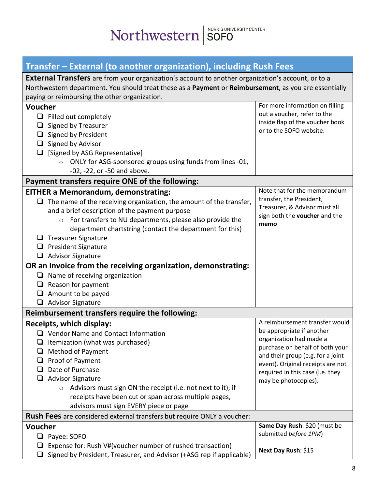<span id="page-7-0"></span>

| Transfer – External (to another organization), including Rush Fees                                                                                                                                                                                                  |                                                            |
|---------------------------------------------------------------------------------------------------------------------------------------------------------------------------------------------------------------------------------------------------------------------|------------------------------------------------------------|
| <b>External Transfers</b> are from your organization's account to another organization's account, or to a<br>Northwestern department. You should treat these as a Payment or Reimbursement, as you are essentially<br>paying or reimbursing the other organization. |                                                            |
| Voucher                                                                                                                                                                                                                                                             | For more information on filling                            |
| $\Box$ Filled out completely                                                                                                                                                                                                                                        | out a voucher, refer to the                                |
| <b>Signed by Treasurer</b>                                                                                                                                                                                                                                          | inside flap of the voucher book                            |
| $\Box$ Signed by President                                                                                                                                                                                                                                          | or to the SOFO website.                                    |
| $\Box$ Signed by Advisor                                                                                                                                                                                                                                            |                                                            |
| [Signed by ASG Representative]                                                                                                                                                                                                                                      |                                                            |
| ONLY for ASG-sponsored groups using funds from lines -01,                                                                                                                                                                                                           |                                                            |
| -02, -22, or -50 and above.                                                                                                                                                                                                                                         |                                                            |
|                                                                                                                                                                                                                                                                     |                                                            |
| Payment transfers require ONE of the following:                                                                                                                                                                                                                     | Note that for the memorandum                               |
| <b>EITHER a Memorandum, demonstrating:</b>                                                                                                                                                                                                                          | transfer, the President,                                   |
| The name of the receiving organization, the amount of the transfer,                                                                                                                                                                                                 | Treasurer, & Advisor must all                              |
| and a brief description of the payment purpose                                                                                                                                                                                                                      | sign both the voucher and the                              |
| For transfers to NU departments, please also provide the<br>$\circ$                                                                                                                                                                                                 | memo                                                       |
| department chartstring (contact the department for this)                                                                                                                                                                                                            |                                                            |
| <b>Treasurer Signature</b><br>⊔                                                                                                                                                                                                                                     |                                                            |
| $\Box$ President Signature                                                                                                                                                                                                                                          |                                                            |
| <b>Advisor Signature</b><br>❏                                                                                                                                                                                                                                       |                                                            |
| OR an Invoice from the receiving organization, demonstrating:                                                                                                                                                                                                       |                                                            |
| $\Box$ Name of receiving organization                                                                                                                                                                                                                               |                                                            |
| Reason for payment<br>⊔                                                                                                                                                                                                                                             |                                                            |
| Amount to be payed<br>$\Box$                                                                                                                                                                                                                                        |                                                            |
| <b>Advisor Signature</b><br>⊔                                                                                                                                                                                                                                       |                                                            |
| Reimbursement transfers require the following:                                                                                                                                                                                                                      |                                                            |
| Receipts, which display:                                                                                                                                                                                                                                            | A reimbursement transfer would                             |
| $\Box$ Vendor Name and Contact Information                                                                                                                                                                                                                          | be appropriate if another                                  |
| Itemization (what was purchased)                                                                                                                                                                                                                                    | organization had made a<br>purchase on behalf of both your |
| <b>Method of Payment</b>                                                                                                                                                                                                                                            | and their group (e.g. for a joint                          |
| Proof of Payment<br>⊔                                                                                                                                                                                                                                               | event). Original receipts are not                          |
| Date of Purchase<br>ப                                                                                                                                                                                                                                               | required in this case (i.e. they                           |
| <b>Advisor Signature</b><br>⊔                                                                                                                                                                                                                                       | may be photocopies).                                       |
| Advisors must sign ON the receipt (i.e. not next to it); if<br>$\circ$                                                                                                                                                                                              |                                                            |
| receipts have been cut or span across multiple pages,                                                                                                                                                                                                               |                                                            |
| advisors must sign EVERY piece or page                                                                                                                                                                                                                              |                                                            |
| Rush Fees are considered external transfers but require ONLY a voucher:                                                                                                                                                                                             |                                                            |
| <b>Voucher</b>                                                                                                                                                                                                                                                      | Same Day Rush: \$20 (must be                               |
| ❏<br>Payee: SOFO                                                                                                                                                                                                                                                    | submitted before 1PM)                                      |
| Expense for: Rush V#(voucher number of rushed transaction)<br>ப                                                                                                                                                                                                     |                                                            |
| Signed by President, Treasurer, and Advisor (+ASG rep if applicable)                                                                                                                                                                                                | Next Day Rush: \$15                                        |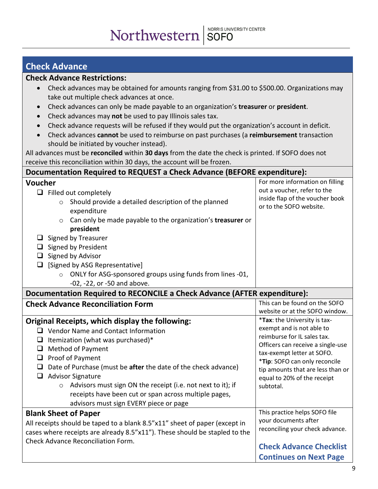# NORRIS UNIVERSITY CENTER

### <span id="page-8-0"></span>**Check Advance**

#### **Check Advance Restrictions:**

- Check advances may be obtained for amounts ranging from \$31.00 to \$500.00. Organizations may take out multiple check advances at once.
- Check advances can only be made payable to an organization's **treasurer** or **president**.
- Check advances may **not** be used to pay Illinois sales tax.
- Check advance requests will be refused if they would put the organization's account in deficit.
- Check advances **cannot** be used to reimburse on past purchases (a **reimbursement** transaction should be initiated by voucher instead).

All advances must be **reconciled** within **30 days** from the date the check is printed. If SOFO does not receive this reconciliation within 30 days, the account will be frozen.

| Documentation Required to REQUEST a Check Advance (BEFORE expenditure):                                                                                                                                                                                                                                                                                                                                                                      |                                                                                                                                                                                                                                               |
|----------------------------------------------------------------------------------------------------------------------------------------------------------------------------------------------------------------------------------------------------------------------------------------------------------------------------------------------------------------------------------------------------------------------------------------------|-----------------------------------------------------------------------------------------------------------------------------------------------------------------------------------------------------------------------------------------------|
| Voucher<br>$\Box$ Filled out completely<br>Should provide a detailed description of the planned<br>expenditure<br>Can only be made payable to the organization's treasurer or<br>$\circ$<br>president<br>$\Box$ Signed by Treasurer<br>Signed by President<br>$\Box$<br>Signed by Advisor<br>$\Box$<br>[Signed by ASG Representative]<br>$\Box$<br>ONLY for ASG-sponsored groups using funds from lines -01,<br>-02, -22, or -50 and above.  | For more information on filling<br>out a voucher, refer to the<br>inside flap of the voucher book<br>or to the SOFO website.                                                                                                                  |
| <b>Documentation Required to RECONCILE a Check Advance (AFTER expenditure):</b>                                                                                                                                                                                                                                                                                                                                                              |                                                                                                                                                                                                                                               |
| <b>Check Advance Reconciliation Form</b><br>Original Receipts, which display the following:                                                                                                                                                                                                                                                                                                                                                  | This can be found on the SOFO<br>website or at the SOFO window.<br>*Tax: the University is tax-                                                                                                                                               |
| $\Box$ Vendor Name and Contact Information<br>$\Box$ Itemization (what was purchased)*<br>$\Box$ Method of Payment<br>$\Box$ Proof of Payment<br>Date of Purchase (must be after the date of the check advance)<br>$\Box$<br><b>Advisor Signature</b><br>$\Box$<br>Advisors must sign ON the receipt (i.e. not next to it); if<br>$\circ$<br>receipts have been cut or span across multiple pages,<br>advisors must sign EVERY piece or page | exempt and is not able to<br>reimburse for IL sales tax.<br>Officers can receive a single-use<br>tax-exempt letter at SOFO.<br>*Tip: SOFO can only reconcile<br>tip amounts that are less than or<br>equal to 20% of the receipt<br>subtotal. |
| <b>Blank Sheet of Paper</b><br>All receipts should be taped to a blank 8.5"x11" sheet of paper (except in<br>cases where receipts are already 8.5"x11"). These should be stapled to the<br><b>Check Advance Reconciliation Form.</b>                                                                                                                                                                                                         | This practice helps SOFO file<br>your documents after<br>reconciling your check advance.<br><b>Check Advance Checklist</b><br><b>Continues on Next Page</b>                                                                                   |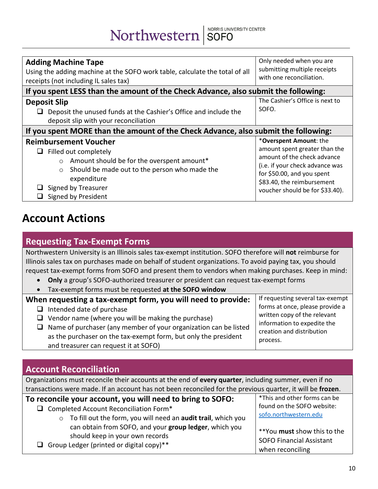Northwestern SOFO

| <b>Adding Machine Tape</b><br>Using the adding machine at the SOFO work table, calculate the total of all<br>receipts (not including IL sales tax)                                                                                           | Only needed when you are<br>submitting multiple receipts<br>with one reconciliation.                                                                                                                                     |  |
|----------------------------------------------------------------------------------------------------------------------------------------------------------------------------------------------------------------------------------------------|--------------------------------------------------------------------------------------------------------------------------------------------------------------------------------------------------------------------------|--|
| If you spent LESS than the amount of the Check Advance, also submit the following:                                                                                                                                                           |                                                                                                                                                                                                                          |  |
| <b>Deposit Slip</b><br>Deposit the unused funds at the Cashier's Office and include the<br>deposit slip with your reconciliation                                                                                                             | The Cashier's Office is next to<br>SOFO.                                                                                                                                                                                 |  |
| If you spent MORE than the amount of the Check Advance, also submit the following:                                                                                                                                                           |                                                                                                                                                                                                                          |  |
| <b>Reimbursement Voucher</b><br>Filled out completely<br>ш<br>Amount should be for the overspent amount*<br>$\circ$<br>Should be made out to the person who made the<br>$\circ$<br>expenditure<br>Signed by Treasurer<br>Signed by President | *Overspent Amount: the<br>amount spent greater than the<br>amount of the check advance<br>(i.e. if your check advance was<br>for \$50.00, and you spent<br>\$83.40, the reimbursement<br>voucher should be for \$33.40). |  |

# **Account Actions**

#### <span id="page-9-0"></span>**Requesting Tax-Exempt Forms**

Northwestern University is an Illinois sales tax-exempt institution. SOFO therefore will **not** reimburse for Illinois sales tax on purchases made on behalf of student organizations. To avoid paying tax, you should request tax-exempt forms from SOFO and present them to vendors when making purchases. Keep in mind:

- **Only** a group's SOFO-authorized treasurer or president can request tax-exempt forms
- Tax-exempt forms must be requested **at the SOFO window**

#### **When requesting a tax-exempt form, you will need to provide:**

- $\Box$  Intended date of purchase
- $\Box$  Vendor name (where you will be making the purchase)
- $\Box$  Name of purchaser (any member of your organization can be listed as the purchaser on the tax-exempt form, but only the president and treasurer can request it at SOFO)

If requesting several tax-exempt forms at once, please provide a written copy of the relevant information to expedite the creation and distribution process.

### <span id="page-9-1"></span>**Account Reconciliation**

Organizations must reconcile their accounts at the end of **every quarter**, including summer, even if no transactions were made. If an account has not been reconciled for the previous quarter, it will be **frozen**.

| To reconcile your account, you will need to bring to SOFO:                                                                                                                                                              | *This and other forms can be                                                       |
|-------------------------------------------------------------------------------------------------------------------------------------------------------------------------------------------------------------------------|------------------------------------------------------------------------------------|
| $\Box$ Completed Account Reconciliation Form*                                                                                                                                                                           | found on the SOFO website:<br>sofo.northwestern.edu                                |
| $\circ$ To fill out the form, you will need an audit trail, which you<br>can obtain from SOFO, and your group ledger, which you<br>should keep in your own records<br><b>Q</b> Group Ledger (printed or digital copy)** | **You must show this to the<br><b>SOFO Financial Assistant</b><br>when reconciling |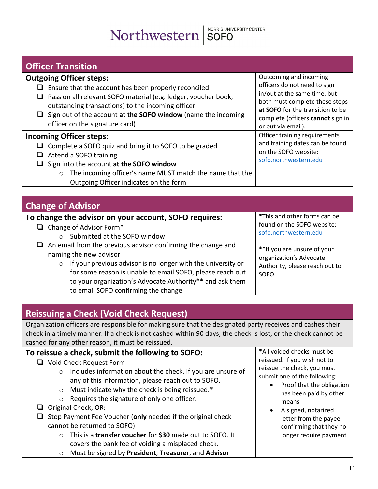# Northwestern SOFO

<span id="page-10-0"></span>

| <b>Officer Transition</b>                                                                                                                                                                                                                                                                                               |                                                                                                                                                                                                                         |
|-------------------------------------------------------------------------------------------------------------------------------------------------------------------------------------------------------------------------------------------------------------------------------------------------------------------------|-------------------------------------------------------------------------------------------------------------------------------------------------------------------------------------------------------------------------|
| <b>Outgoing Officer steps:</b><br>Ensure that the account has been properly reconciled<br>Pass on all relevant SOFO material (e.g. ledger, voucher book,<br>outstanding transactions) to the incoming officer<br>$\Box$ Sign out of the account at the SOFO window (name the incoming<br>officer on the signature card) | Outcoming and incoming<br>officers do not need to sign<br>in/out at the same time, but<br>both must complete these steps<br>at SOFO for the transition to be<br>complete (officers cannot sign in<br>or out via email). |
| <b>Incoming Officer steps:</b><br>Complete a SOFO quiz and bring it to SOFO to be graded<br>Attend a SOFO training<br>Sign into the account at the SOFO window<br>The incoming officer's name MUST match the name that the<br>$\circ$<br>Outgoing Officer indicates on the form                                         | Officer training requirements<br>and training dates can be found<br>on the SOFO website:<br>sofo.northwestern.edu                                                                                                       |

### <span id="page-10-1"></span>**Change of Advisor**

#### **To change the advisor on your account, SOFO requires:**

- $\Box$  Change of Advisor Form\*
	- o Submitted at the SOFO window
- $\Box$  An email from the previous advisor confirming the change and naming the new advisor
	- o If your previous advisor is no longer with the university or for some reason is unable to email SOFO, please reach out to your organization's Advocate Authority\*\* and ask them to email SOFO confirming the change

\*This and other forms can be found on the SOFO website: [sofo.northwestern.edu](https://www.northwestern.edu/norris/services/sofo/index.html)

\*\*If you are unsure of your organization's Advocate Authority, please reach out to SOFO.

## <span id="page-10-2"></span>**Reissuing a Check (Void Check Request)**

Organization officers are responsible for making sure that the designated party receives and cashes their check in a timely manner. If a check is not cashed within 90 days, the check is lost, or the check cannot be cashed for any other reason, it must be reissued.

#### **To reissue a check, submit the following to SOFO:** □ Void Check Request Form o Includes information about the check. If you are unsure of any of this information, please reach out to SOFO.

- o Must indicate why the check is being reissued.\*
- o Requires the signature of only one officer.
- $\Box$  Original Check, OR:

□ Stop Payment Fee Voucher (only needed if the original check cannot be returned to SOFO)

- o This is a **transfer voucher** for **\$30** made out to SOFO. It covers the bank fee of voiding a misplaced check.
- o Must be signed by **President**, **Treasurer**, and **Advisor**

\*All voided checks must be reissued. If you wish not to reissue the check, you must submit one of the following:

- Proof that the obligation has been paid by other means
- A signed, notarized letter from the payee confirming that they no longer require payment